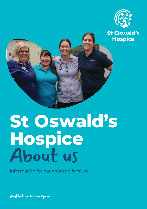



## **St Oswald's Hospice** About us

Information for patients and families

Quality time for everyone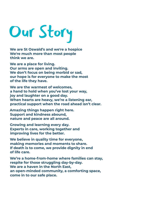# Our Story

**We are St Oswald's and we're a hospice We're much more than most people think we are.**

**We are a place for living. Our arms are open and inviting. We don't focus on being morbid or sad, our hope is for everyone to make the most of the life they have.**

**We are the warmest of welcomes, a hand to hold when you've lost your way, joy and laughter on a good day. When hearts are heavy, we're a listening ear, practical support when the road ahead isn't clear.**

**Amazing things happen right here. Support and kindness abound, nature and peace are all around.**

**Growing and learning every day. Experts in care, working together and improving lives for the better.**

**We believe in quality time for everyone, making memories and moments to share. If death is to come, we provide dignity in end of life care.**

**We're a home-from-home where families can stay, respite for those struggling day-by-day. We are a haven in the North East, an open-minded community, a comforting space, come in to our safe place.**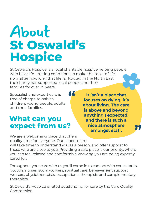## About **St Oswald's Hospice**

St Oswald's Hospice is a local charitable hospice helping people who have life-limiting conditions to make the most of life, no matter how long that life is. Rooted in the North East, the charity has supported local people and their families for over 35 years.

**"**

Specialist and expert care is free of charge to babies, children, young people, adults and their families.

### **What can you expect from us?**

**It isn't a place that focuses on dying, it's about living. The care is above and beyond anything I expected, and there is such a nice atmosphere amongst staff.** 

**"**

We are a welcoming place that offers quality time for everyone. Our expert team will take time to understand you as a person, and offer support to

those who are close to you. Providing a safe place is our priority, where you can feel relaxed and comfortable knowing you are being expertly cared for.

Throughout your care with us you'll come in to contact with consultants, doctors, nurses, social workers, spiritual care, bereavement support workers, physiotherapists, occupational therapists and complementary therapists.

St Oswald's Hospice is rated outstanding for care by the Care Quality Commission.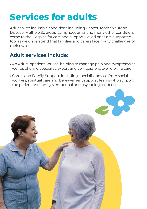## **Services for adults**

Adults with incurable conditions including Cancer, Motor Neurone Disease, Multiple Sclerosis, Lymphoedema, and many other conditions, come to the Hospice for care and support. Loved ones are supported too, as we understand that families and carers face many challenges of their own.

### **Adult services include:**

- An Adult Inpatient Service, helping to manage pain and symptoms as well as offering specialist, expert and compassionate end of life care.
- Carers and Family Support, including specialist advice from social workers, spiritual care and bereavement support teams who support the patient and family's emotional and psychological needs.

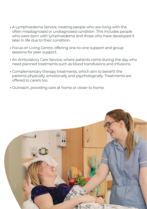- A Lymphoedema Service, treating people who are living with the often misdiagnosed or undiagnosed condition. This includes people who were born with lymphoedema and those who have developed it later in life due to their condition.
- Focus on Living Centre, offering one-to-one support and group sessions for peer support.
- An Ambulatory Care Service, where patients come during the day who need planned treatments such as blood transfusions and infusions.
- Complementary therapy treatments, which aim to benefit the patients physically, emotionally and psychologically. Treatments are offered to carers too.
- Outreach, providing care at home or closer to home.

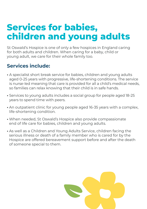## **Services for babies, children and young adults**

St Oswald's Hospice is one of only a few hospices in England caring for both adults and children. When caring for a baby, child or young adult, we care for their whole family too.

#### **Services include:**

- A specialist short break service for babies, children and young adults aged 0-25 years with progressive, life-shortening conditions. The service is nurse-led meaning that care is provided for all a child's medical needs, so families can relax knowing that their child is in safe hands.
- Services to young adults includes a social group for people aged 18-25 years to spend time with peers.
- An outpatient clinic for young people aged 16-35 years with a complex, life-shortening condition.
- When needed, St Oswald's Hospice also provide compassionate end of life care for babies, children and young adults.
- As well as a Children and Young Adults Service, children facing the serious illness or death of a family member who is cared for by the Hospice are offered bereavement support before and after the death of someone special to them.

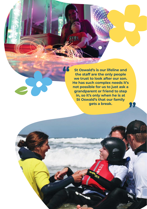**St Oswald's is our lifeline and the staff are the only people we trust to look after our son. He has such complex needs it's not possible for us to just ask a grandparent or friend to step in, so it's only when he is at St Oswald's that our family gets a break. "**

**"**